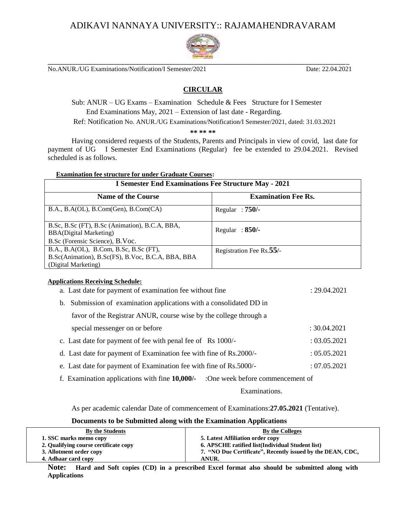## ADIKAVI NANNAYA UNIVERSITY:: RAJAMAHENDRAVARAM



No.ANUR./UG Examinations/Notification/I Semester/2021 Date: 22.04.2021

## **CIRCULAR**

Sub: ANUR – UG Exams – Examination Schedule & Fees Structure for I Semester End Examinations May, 2021 – Extension of last date - Regarding. Ref: Notification No. ANUR./UG Examinations/Notification/I Semester/2021, dated: 31.03.2021

**\*\* \*\* \*\***

Having considered requests of the Students, Parents and Principals in view of covid, last date for payment of UG I Semester End Examinations (Regular) fee be extended to 29.04.2021. Revised scheduled is as follows.

| <b>Examination fee structure for under Graduate Courses:</b>                                                       |                            |  |
|--------------------------------------------------------------------------------------------------------------------|----------------------------|--|
| <b>I Semester End Examinations Fee Structure May - 2021</b>                                                        |                            |  |
| <b>Name of the Course</b>                                                                                          | <b>Examination Fee Rs.</b> |  |
| B.A., B.A(OL), B.Com(Gen), B.Com(CA))                                                                              | Regular: $750/-$           |  |
| B.Sc, B.Sc (FT), B.Sc (Animation), B.C.A, BBA,<br><b>BBA(Digital Marketing)</b>                                    | Regular: $850/-$           |  |
| B.Sc (Forensic Science), B.Voc.                                                                                    |                            |  |
| B.A., B.A(OL), B.Com, B.Sc, B.Sc (FT),<br>B.Sc(Animation), B.Sc(FS), B.Voc, B.C.A, BBA, BBA<br>(Digital Marketing) | Registration Fee Rs.55/-   |  |

#### **Applications Receiving Schedule:**

| a. Last date for payment of examination fee without fine                           | : 29.04.2021 |
|------------------------------------------------------------------------------------|--------------|
| b. Submission of examination applications with a consolidated DD in                |              |
| favor of the Registrar ANUR, course wise by the college through a                  |              |
| special messenger on or before                                                     | : 30.04.2021 |
| c. Last date for payment of fee with penal fee of Rs 1000/-                        | : 03.05.2021 |
| d. Last date for payment of Examination fee with fine of Rs.2000/-                 | : 05.05.2021 |
| e. Last date for payment of Examination fee with fine of Rs.5000/-                 | : 07.05.2021 |
| f. Examination applications with fine 10,000/-<br>:One week before commencement of |              |

Examinations.

As per academic calendar Date of commencement of Examinations:**27.05.2021** (Tentative).

#### **Documents to be Submitted along with the Examination Applications**

| By the Students                       | By the Colleges                                            |
|---------------------------------------|------------------------------------------------------------|
| 1. SSC marks memo copy                | 5. Latest Affiliation order copy                           |
| 2. Qualifying course certificate copy | 6. APSCHE ratified list(Individual Student list)           |
| 3. Allotment order copy               | 7. "NO Due Certificate", Recently issued by the DEAN, CDC, |
| 4. Adhaar card copy                   | <b>ANUR.</b>                                               |

**Note: Hard and Soft copies (CD) in a prescribed Excel format also should be submitted along with Applications**